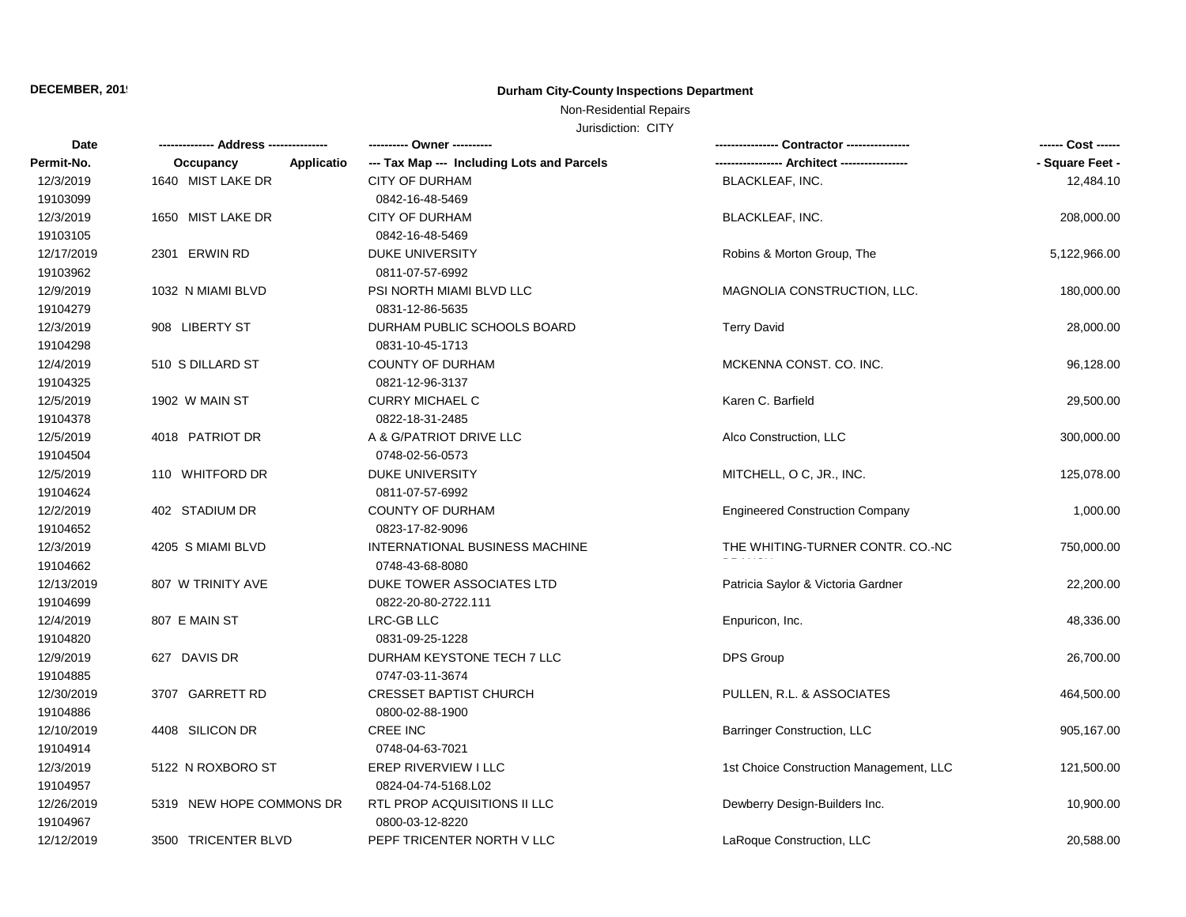# **DECEMBER, 2019 Durham City-County Inspections Department**

# Non-Residential Repairs

Jurisdiction: CITY

| Date       |                          |                                            |                                         | ------ Cost ------ |
|------------|--------------------------|--------------------------------------------|-----------------------------------------|--------------------|
| Permit-No. | Occupancy<br>Applicatio  | --- Tax Map --- Including Lots and Parcels |                                         | - Square Feet -    |
| 12/3/2019  | 1640 MIST LAKE DR        | <b>CITY OF DURHAM</b>                      | BLACKLEAF, INC.                         | 12,484.10          |
| 19103099   |                          | 0842-16-48-5469                            |                                         |                    |
| 12/3/2019  | 1650 MIST LAKE DR        | <b>CITY OF DURHAM</b>                      | <b>BLACKLEAF, INC.</b>                  | 208,000.00         |
| 19103105   |                          | 0842-16-48-5469                            |                                         |                    |
| 12/17/2019 | 2301 ERWIN RD            | <b>DUKE UNIVERSITY</b>                     | Robins & Morton Group, The              | 5,122,966.00       |
| 19103962   |                          | 0811-07-57-6992                            |                                         |                    |
| 12/9/2019  | 1032 N MIAMI BLVD        | PSI NORTH MIAMI BLVD LLC                   | MAGNOLIA CONSTRUCTION, LLC.             | 180,000.00         |
| 19104279   |                          | 0831-12-86-5635                            |                                         |                    |
| 12/3/2019  | 908 LIBERTY ST           | DURHAM PUBLIC SCHOOLS BOARD                | <b>Terry David</b>                      | 28,000.00          |
| 19104298   |                          | 0831-10-45-1713                            |                                         |                    |
| 12/4/2019  | 510 S DILLARD ST         | <b>COUNTY OF DURHAM</b>                    | MCKENNA CONST. CO. INC.                 | 96,128.00          |
| 19104325   |                          | 0821-12-96-3137                            |                                         |                    |
| 12/5/2019  | 1902 W MAIN ST           | <b>CURRY MICHAEL C</b>                     | Karen C. Barfield                       | 29,500.00          |
| 19104378   |                          | 0822-18-31-2485                            |                                         |                    |
| 12/5/2019  | 4018 PATRIOT DR          | A & G/PATRIOT DRIVE LLC                    | Alco Construction, LLC                  | 300,000.00         |
| 19104504   |                          | 0748-02-56-0573                            |                                         |                    |
| 12/5/2019  | 110 WHITFORD DR          | <b>DUKE UNIVERSITY</b>                     | MITCHELL, O C, JR., INC.                | 125,078.00         |
| 19104624   |                          | 0811-07-57-6992                            |                                         |                    |
| 12/2/2019  | 402 STADIUM DR           | <b>COUNTY OF DURHAM</b>                    | <b>Engineered Construction Company</b>  | 1,000.00           |
| 19104652   |                          | 0823-17-82-9096                            |                                         |                    |
| 12/3/2019  | 4205 S MIAMI BLVD        | INTERNATIONAL BUSINESS MACHINE             | THE WHITING-TURNER CONTR. CO.-NC        | 750,000.00         |
| 19104662   |                          | 0748-43-68-8080                            |                                         |                    |
| 12/13/2019 | 807 W TRINITY AVE        | DUKE TOWER ASSOCIATES LTD                  | Patricia Saylor & Victoria Gardner      | 22,200.00          |
| 19104699   |                          | 0822-20-80-2722.111                        |                                         |                    |
| 12/4/2019  | 807 E MAIN ST            | LRC-GB LLC                                 | Enpuricon, Inc.                         | 48,336.00          |
| 19104820   |                          | 0831-09-25-1228                            |                                         |                    |
| 12/9/2019  | 627 DAVIS DR             | DURHAM KEYSTONE TECH 7 LLC                 | <b>DPS Group</b>                        | 26,700.00          |
| 19104885   |                          | 0747-03-11-3674                            |                                         |                    |
| 12/30/2019 | 3707 GARRETT RD          | <b>CRESSET BAPTIST CHURCH</b>              | PULLEN, R.L. & ASSOCIATES               | 464,500.00         |
| 19104886   |                          | 0800-02-88-1900                            |                                         |                    |
| 12/10/2019 | 4408 SILICON DR          | <b>CREE INC</b>                            | <b>Barringer Construction, LLC</b>      | 905,167.00         |
| 19104914   |                          | 0748-04-63-7021                            |                                         |                    |
| 12/3/2019  | 5122 N ROXBORO ST        | EREP RIVERVIEW I LLC                       | 1st Choice Construction Management, LLC | 121,500.00         |
| 19104957   |                          | 0824-04-74-5168.L02                        |                                         |                    |
| 12/26/2019 | 5319 NEW HOPE COMMONS DR | RTL PROP ACQUISITIONS II LLC               | Dewberry Design-Builders Inc.           | 10,900.00          |
| 19104967   |                          | 0800-03-12-8220                            |                                         |                    |
| 12/12/2019 | 3500 TRICENTER BLVD      | PEPF TRICENTER NORTH V LLC                 | LaRoque Construction, LLC               | 20,588.00          |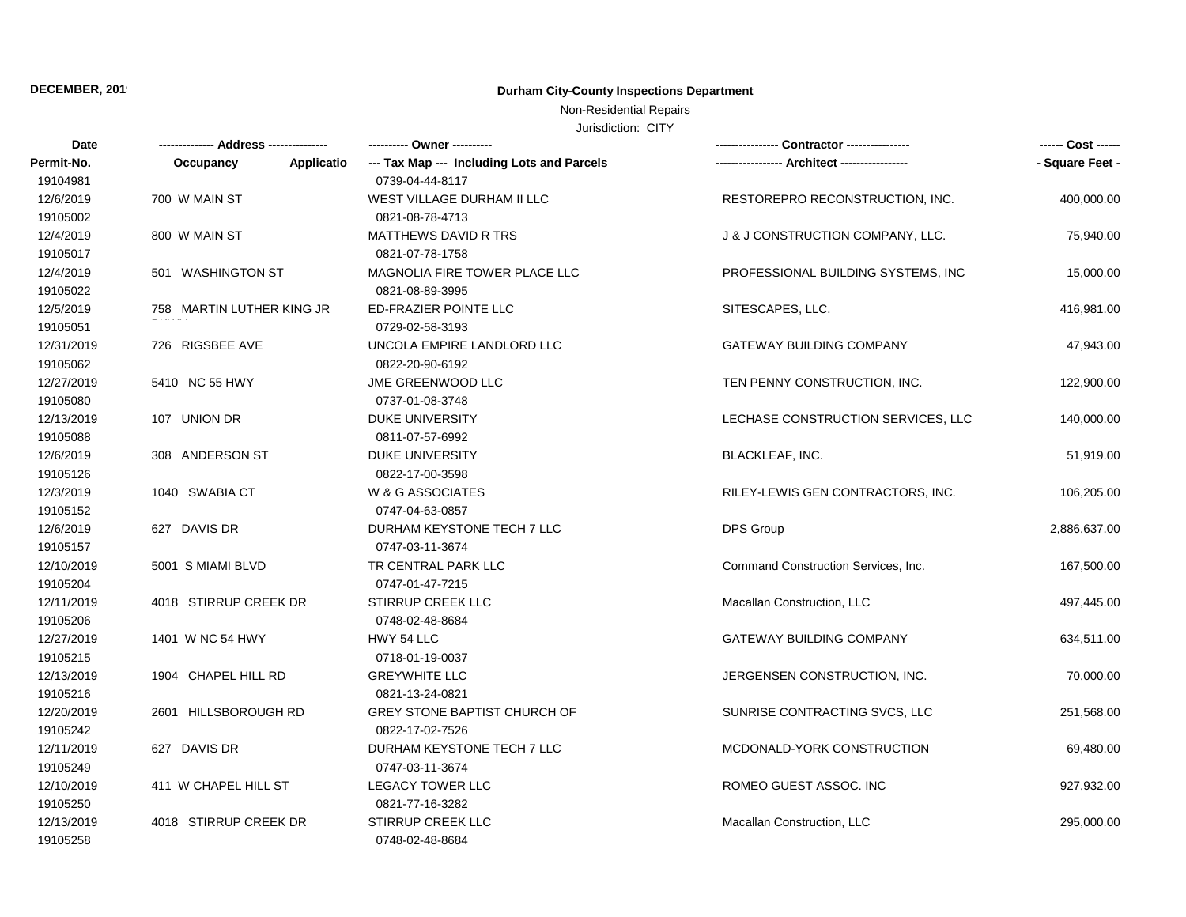# **DECEMBER, 2019 Durham City-County Inspections Department**

# Non-Residential Repairs

Jurisdiction: CITY

| Date       | ------------- Address -------------- | ---------- Owner ----------                |                                     | ------ Cost ------ |
|------------|--------------------------------------|--------------------------------------------|-------------------------------------|--------------------|
| Permit-No. | Applicatio<br>Occupancy              | --- Tax Map --- Including Lots and Parcels |                                     | - Square Feet -    |
| 19104981   |                                      | 0739-04-44-8117                            |                                     |                    |
| 12/6/2019  | 700 W MAIN ST                        | WEST VILLAGE DURHAM II LLC                 | RESTOREPRO RECONSTRUCTION, INC.     | 400,000.00         |
| 19105002   |                                      | 0821-08-78-4713                            |                                     |                    |
| 12/4/2019  | 800 W MAIN ST                        | MATTHEWS DAVID R TRS                       | J & J CONSTRUCTION COMPANY, LLC.    | 75,940.00          |
| 19105017   |                                      | 0821-07-78-1758                            |                                     |                    |
| 12/4/2019  | 501 WASHINGTON ST                    | MAGNOLIA FIRE TOWER PLACE LLC              | PROFESSIONAL BUILDING SYSTEMS, INC. | 15,000.00          |
| 19105022   |                                      | 0821-08-89-3995                            |                                     |                    |
| 12/5/2019  | 758 MARTIN LUTHER KING JR            | ED-FRAZIER POINTE LLC                      | SITESCAPES, LLC.                    | 416,981.00         |
| 19105051   |                                      | 0729-02-58-3193                            |                                     |                    |
| 12/31/2019 | 726 RIGSBEE AVE                      | UNCOLA EMPIRE LANDLORD LLC                 | <b>GATEWAY BUILDING COMPANY</b>     | 47,943.00          |
| 19105062   |                                      | 0822-20-90-6192                            |                                     |                    |
| 12/27/2019 | 5410 NC 55 HWY                       | JME GREENWOOD LLC                          | TEN PENNY CONSTRUCTION, INC.        | 122,900.00         |
| 19105080   |                                      | 0737-01-08-3748                            |                                     |                    |
| 12/13/2019 | 107 UNION DR                         | <b>DUKE UNIVERSITY</b>                     | LECHASE CONSTRUCTION SERVICES, LLC  | 140,000.00         |
| 19105088   |                                      | 0811-07-57-6992                            |                                     |                    |
| 12/6/2019  | 308 ANDERSON ST                      | DUKE UNIVERSITY                            | <b>BLACKLEAF, INC.</b>              | 51,919.00          |
| 19105126   |                                      | 0822-17-00-3598                            |                                     |                    |
| 12/3/2019  | 1040 SWABIA CT                       | W & G ASSOCIATES                           | RILEY-LEWIS GEN CONTRACTORS, INC.   | 106,205.00         |
| 19105152   |                                      | 0747-04-63-0857                            |                                     |                    |
| 12/6/2019  | 627 DAVIS DR                         | DURHAM KEYSTONE TECH 7 LLC                 | <b>DPS Group</b>                    | 2,886,637.00       |
| 19105157   |                                      | 0747-03-11-3674                            |                                     |                    |
| 12/10/2019 | 5001 S MIAMI BLVD                    | TR CENTRAL PARK LLC                        | Command Construction Services, Inc. | 167,500.00         |
| 19105204   |                                      | 0747-01-47-7215                            |                                     |                    |
| 12/11/2019 | 4018 STIRRUP CREEK DR                | <b>STIRRUP CREEK LLC</b>                   | Macallan Construction, LLC          | 497,445.00         |
| 19105206   |                                      | 0748-02-48-8684                            |                                     |                    |
| 12/27/2019 | 1401 W NC 54 HWY                     | HWY 54 LLC                                 | <b>GATEWAY BUILDING COMPANY</b>     | 634,511.00         |
| 19105215   |                                      | 0718-01-19-0037                            |                                     |                    |
| 12/13/2019 | 1904 CHAPEL HILL RD                  | <b>GREYWHITE LLC</b>                       | JERGENSEN CONSTRUCTION, INC.        | 70,000.00          |
| 19105216   |                                      | 0821-13-24-0821                            |                                     |                    |
| 12/20/2019 | 2601 HILLSBOROUGH RD                 | GREY STONE BAPTIST CHURCH OF               | SUNRISE CONTRACTING SVCS, LLC       | 251,568.00         |
| 19105242   |                                      | 0822-17-02-7526                            |                                     |                    |
| 12/11/2019 | 627 DAVIS DR                         | DURHAM KEYSTONE TECH 7 LLC                 | MCDONALD-YORK CONSTRUCTION          | 69,480.00          |
| 19105249   |                                      | 0747-03-11-3674                            |                                     |                    |
| 12/10/2019 | 411 W CHAPEL HILL ST                 | <b>LEGACY TOWER LLC</b>                    | ROMEO GUEST ASSOC. INC              | 927,932.00         |
| 19105250   |                                      | 0821-77-16-3282                            |                                     |                    |
| 12/13/2019 | 4018 STIRRUP CREEK DR                | <b>STIRRUP CREEK LLC</b>                   | Macallan Construction, LLC          | 295,000.00         |
| 19105258   |                                      | 0748-02-48-8684                            |                                     |                    |